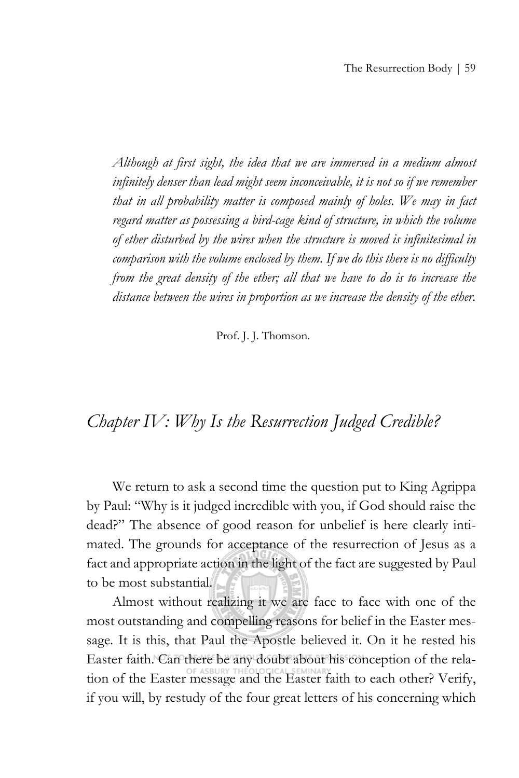*Although at first sight, the idea that we are immersed in a medium almost infinitely denser than lead might seem inconceivable, it is not so if we remember that in all probability matter is composed mainly of holes. We may in fact regard matter as possessing a bird-cage kind of structure, in which the volume of ether disturbed by the wires when the structure is moved is infinitesimal in comparison with the volume enclosed by them. If we do this there is no difficulty from the great density of the ether; all that we have to do is to increase the distance between the wires in proportion as we increase the density of the ether.*

Prof. J. J. Thomson.

# *Chapter IV: Why Is the Resurrection Judged Credible?*

We return to ask a second time the question put to King Agrippa by Paul: "Why is it judged incredible with you, if God should raise the dead?" The absence of good reason for unbelief is here clearly intimated. The grounds for acceptance of the resurrection of Jesus as a fact and appropriate action in the light of the fact are suggested by Paul to be most substantial.

Almost without realizing it we are face to face with one of the most outstanding and compelling reasons for belief in the Easter message. It is this, that Paul the Apostle believed it. On it he rested his Easter faith. Can there be any doubt about his conception of the relation of the Easter message and the Easter faith to each other? Verify, if you will, by restudy of the four great letters of his concerning which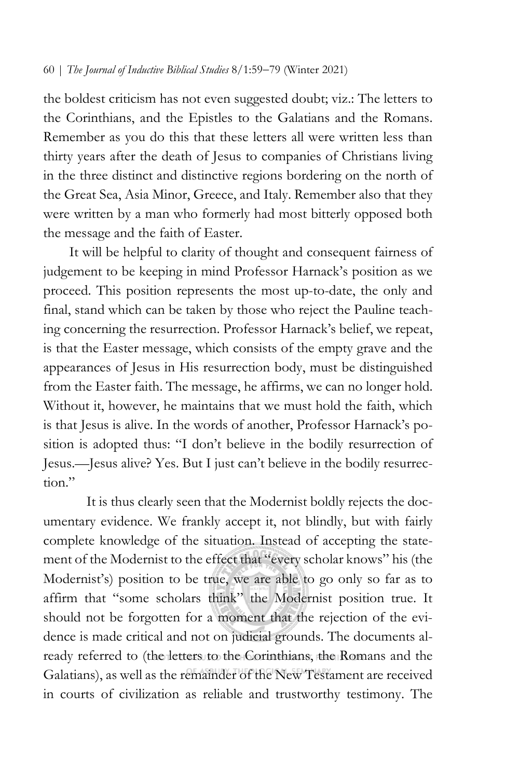the boldest criticism has not even suggested doubt; viz.: The letters to the Corinthians, and the Epistles to the Galatians and the Romans. Remember as you do this that these letters all were written less than thirty years after the death of Jesus to companies of Christians living in the three distinct and distinctive regions bordering on the north of the Great Sea, Asia Minor, Greece, and Italy. Remember also that they were written by a man who formerly had most bitterly opposed both the message and the faith of Easter.

It will be helpful to clarity of thought and consequent fairness of judgement to be keeping in mind Professor Harnack's position as we proceed. This position represents the most up-to-date, the only and final, stand which can be taken by those who reject the Pauline teaching concerning the resurrection. Professor Harnack's belief, we repeat, is that the Easter message, which consists of the empty grave and the appearances of Jesus in His resurrection body, must be distinguished from the Easter faith. The message, he affirms, we can no longer hold. Without it, however, he maintains that we must hold the faith, which is that Jesus is alive. In the words of another, Professor Harnack's position is adopted thus: "I don't believe in the bodily resurrection of Jesus.—Jesus alive? Yes. But I just can't believe in the bodily resurrection."

It is thus clearly seen that the Modernist boldly rejects the documentary evidence. We frankly accept it, not blindly, but with fairly complete knowledge of the situation. Instead of accepting the statement of the Modernist to the effect that "every scholar knows" his (the Modernist's) position to be true, we are able to go only so far as to affirm that "some scholars think" the Modernist position true. It should not be forgotten for a moment that the rejection of the evidence is made critical and not on judicial grounds. The documents already referred to (the letters to the Corinthians, the Romans and the Galatians), as well as the remainder of the New Testament are received in courts of civilization as reliable and trustworthy testimony. The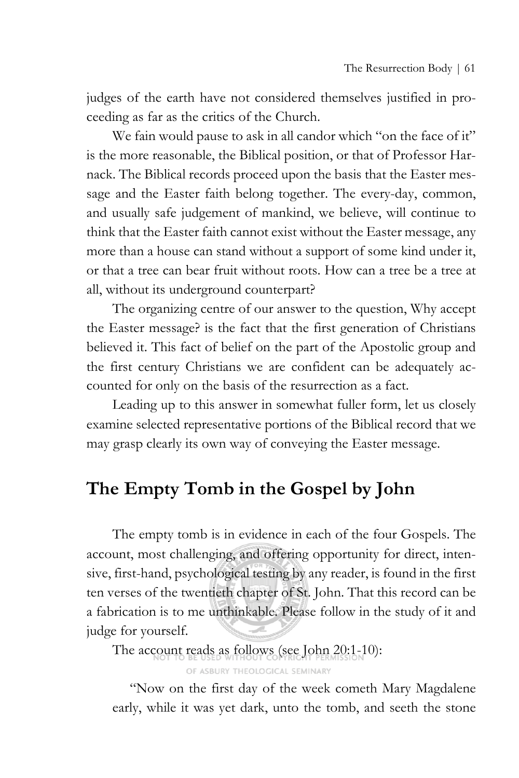judges of the earth have not considered themselves justified in proceeding as far as the critics of the Church.

We fain would pause to ask in all candor which "on the face of it" is the more reasonable, the Biblical position, or that of Professor Harnack. The Biblical records proceed upon the basis that the Easter message and the Easter faith belong together. The every-day, common, and usually safe judgement of mankind, we believe, will continue to think that the Easter faith cannot exist without the Easter message, any more than a house can stand without a support of some kind under it, or that a tree can bear fruit without roots. How can a tree be a tree at all, without its underground counterpart?

The organizing centre of our answer to the question, Why accept the Easter message? is the fact that the first generation of Christians believed it. This fact of belief on the part of the Apostolic group and the first century Christians we are confident can be adequately accounted for only on the basis of the resurrection as a fact.

Leading up to this answer in somewhat fuller form, let us closely examine selected representative portions of the Biblical record that we may grasp clearly its own way of conveying the Easter message.

# **The Empty Tomb in the Gospel by John**

The empty tomb is in evidence in each of the four Gospels. The account, most challenging, and offering opportunity for direct, intensive, first-hand, psychological testing by any reader, is found in the first ten verses of the twentieth chapter of St. John. That this record can be a fabrication is to me unthinkable. Please follow in the study of it and judge for yourself.

The account reads as follows (see John 20:1-10):

OF ASBURY THEOLOGICAL SEMINARY

"Now on the first day of the week cometh Mary Magdalene early, while it was yet dark, unto the tomb, and seeth the stone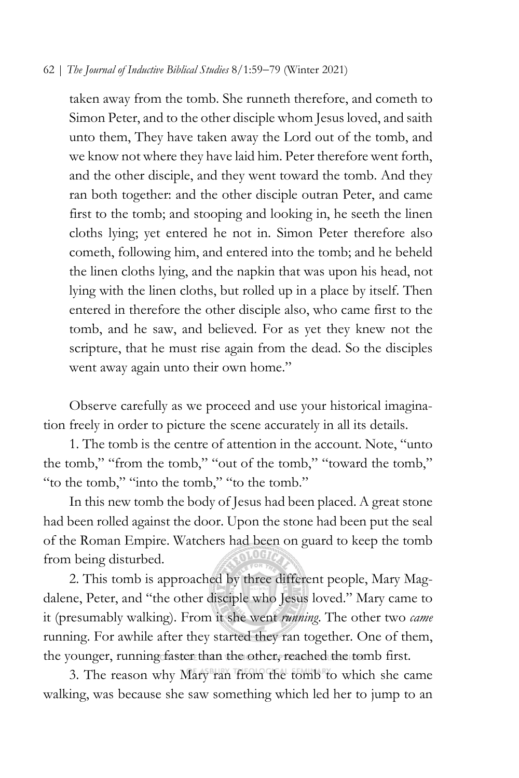taken away from the tomb. She runneth therefore, and cometh to Simon Peter, and to the other disciple whom Jesus loved, and saith unto them, They have taken away the Lord out of the tomb, and we know not where they have laid him. Peter therefore went forth, and the other disciple, and they went toward the tomb. And they ran both together: and the other disciple outran Peter, and came first to the tomb; and stooping and looking in, he seeth the linen cloths lying; yet entered he not in. Simon Peter therefore also cometh, following him, and entered into the tomb; and he beheld the linen cloths lying, and the napkin that was upon his head, not lying with the linen cloths, but rolled up in a place by itself. Then entered in therefore the other disciple also, who came first to the tomb, and he saw, and believed. For as yet they knew not the scripture, that he must rise again from the dead. So the disciples went away again unto their own home."

Observe carefully as we proceed and use your historical imagination freely in order to picture the scene accurately in all its details.

1. The tomb is the centre of attention in the account. Note, "unto the tomb," "from the tomb," "out of the tomb," "toward the tomb," "to the tomb," "into the tomb," "to the tomb."

In this new tomb the body of Jesus had been placed. A great stone had been rolled against the door. Upon the stone had been put the seal of the Roman Empire. Watchers had been on guard to keep the tomb from being disturbed.

2. This tomb is approached by three different people, Mary Magdalene, Peter, and "the other disciple who Jesus loved." Mary came to it (presumably walking). From it she went *running*. The other two *came* running. For awhile after they started they ran together. One of them, the younger, running faster than the other, reached the tomb first.

3. The reason why Mary ran from the tomb to which she came walking, was because she saw something which led her to jump to an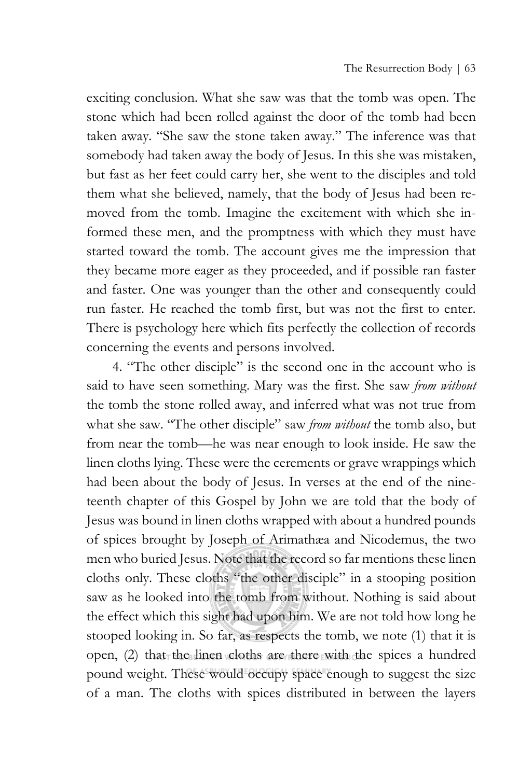exciting conclusion. What she saw was that the tomb was open. The stone which had been rolled against the door of the tomb had been taken away. "She saw the stone taken away." The inference was that somebody had taken away the body of Jesus. In this she was mistaken, but fast as her feet could carry her, she went to the disciples and told them what she believed, namely, that the body of Jesus had been removed from the tomb. Imagine the excitement with which she informed these men, and the promptness with which they must have started toward the tomb. The account gives me the impression that they became more eager as they proceeded, and if possible ran faster and faster. One was younger than the other and consequently could run faster. He reached the tomb first, but was not the first to enter. There is psychology here which fits perfectly the collection of records concerning the events and persons involved.

4. "The other disciple" is the second one in the account who is said to have seen something. Mary was the first. She saw *from without*  the tomb the stone rolled away, and inferred what was not true from what she saw. "The other disciple" saw *from without* the tomb also, but from near the tomb—he was near enough to look inside. He saw the linen cloths lying. These were the cerements or grave wrappings which had been about the body of Jesus. In verses at the end of the nineteenth chapter of this Gospel by John we are told that the body of Jesus was bound in linen cloths wrapped with about a hundred pounds of spices brought by Joseph of Arimathæa and Nicodemus, the two men who buried Jesus. Note that the record so far mentions these linen cloths only. These cloths "the other disciple" in a stooping position saw as he looked into the tomb from without. Nothing is said about the effect which this sight had upon him. We are not told how long he stooped looking in. So far, as respects the tomb, we note (1) that it is open, (2) that the linen cloths are there with the spices a hundred pound weight. These would occupy space enough to suggest the size of a man. The cloths with spices distributed in between the layers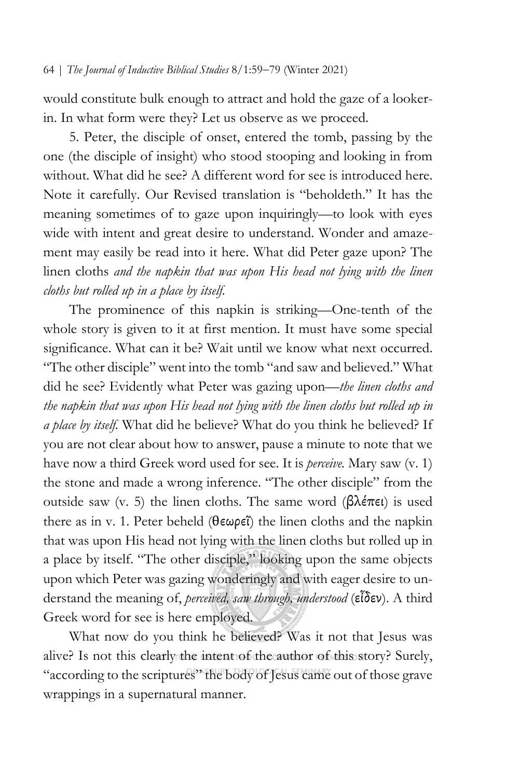would constitute bulk enough to attract and hold the gaze of a lookerin. In what form were they? Let us observe as we proceed.

5. Peter, the disciple of onset, entered the tomb, passing by the one (the disciple of insight) who stood stooping and looking in from without. What did he see? A different word for see is introduced here. Note it carefully. Our Revised translation is "beholdeth." It has the meaning sometimes of to gaze upon inquiringly—to look with eyes wide with intent and great desire to understand. Wonder and amazement may easily be read into it here. What did Peter gaze upon? The linen cloths *and the napkin that was upon His head not lying with the linen cloths but rolled up in a place by itself.* 

The prominence of this napkin is striking—One-tenth of the whole story is given to it at first mention. It must have some special significance. What can it be? Wait until we know what next occurred. "The other disciple" went into the tomb "and saw and believed." What did he see? Evidently what Peter was gazing upon—*the linen cloths and the napkin that was upon His head not lying with the linen cloths but rolled up in a place by itself.* What did he believe? What do you think he believed? If you are not clear about how to answer, pause a minute to note that we have now a third Greek word used for see. It is *perceive.* Mary saw (v. 1) the stone and made a wrong inference. "The other disciple" from the outside saw (v. 5) the linen cloths. The same word (βλέπει) is used there as in v. 1. Peter beheld (θεωρεΐ) the linen cloths and the napkin that was upon His head not lying with the linen cloths but rolled up in a place by itself. "The other disciple," looking upon the same objects upon which Peter was gazing wonderingly and with eager desire to understand the meaning of, *perceived, saw through, understood* (εἶδεν). A third Greek word for see is here employed.

What now do you think he believed? Was it not that Jesus was alive? Is not this clearly the intent of the author of this story? Surely, "according to the scriptures" the body of Jesus came out of those grave wrappings in a supernatural manner.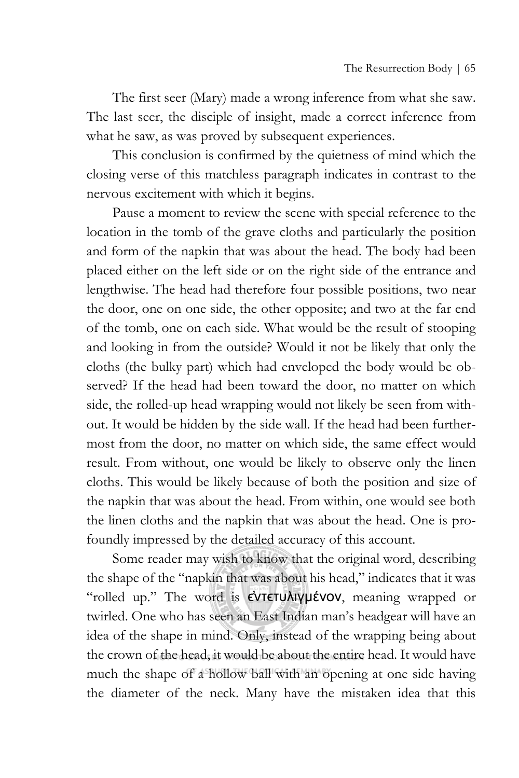The first seer (Mary) made a wrong inference from what she saw. The last seer, the disciple of insight, made a correct inference from what he saw, as was proved by subsequent experiences.

This conclusion is confirmed by the quietness of mind which the closing verse of this matchless paragraph indicates in contrast to the nervous excitement with which it begins.

Pause a moment to review the scene with special reference to the location in the tomb of the grave cloths and particularly the position and form of the napkin that was about the head. The body had been placed either on the left side or on the right side of the entrance and lengthwise. The head had therefore four possible positions, two near the door, one on one side, the other opposite; and two at the far end of the tomb, one on each side. What would be the result of stooping and looking in from the outside? Would it not be likely that only the cloths (the bulky part) which had enveloped the body would be observed? If the head had been toward the door, no matter on which side, the rolled-up head wrapping would not likely be seen from without. It would be hidden by the side wall. If the head had been furthermost from the door, no matter on which side, the same effect would result. From without, one would be likely to observe only the linen cloths. This would be likely because of both the position and size of the napkin that was about the head. From within, one would see both the linen cloths and the napkin that was about the head. One is profoundly impressed by the detailed accuracy of this account.

Some reader may wish to know that the original word, describing the shape of the "napkin that was about his head," indicates that it was "rolled up." The word is **εντετυλιγμένον**, meaning wrapped or twirled. One who has seen an East Indian man's headgear will have an idea of the shape in mind. Only, instead of the wrapping being about the crown of the head, it would be about the entire head. It would have much the shape of a hollow ball with an opening at one side having the diameter of the neck. Many have the mistaken idea that this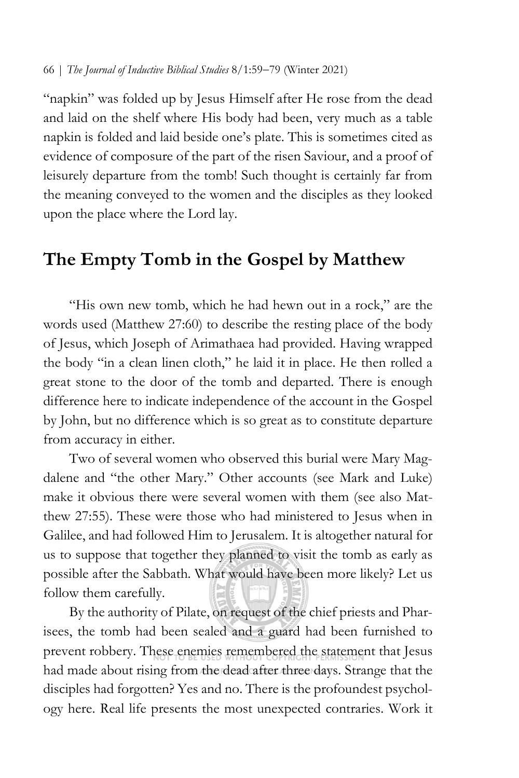"napkin" was folded up by Jesus Himself after He rose from the dead and laid on the shelf where His body had been, very much as a table napkin is folded and laid beside one's plate. This is sometimes cited as evidence of composure of the part of the risen Saviour, and a proof of leisurely departure from the tomb! Such thought is certainly far from the meaning conveyed to the women and the disciples as they looked upon the place where the Lord lay.

# **The Empty Tomb in the Gospel by Matthew**

"His own new tomb, which he had hewn out in a rock," are the words used (Matthew 27:60) to describe the resting place of the body of Jesus, which Joseph of Arimathaea had provided. Having wrapped the body "in a clean linen cloth," he laid it in place. He then rolled a great stone to the door of the tomb and departed. There is enough difference here to indicate independence of the account in the Gospel by John, but no difference which is so great as to constitute departure from accuracy in either.

Two of several women who observed this burial were Mary Magdalene and "the other Mary." Other accounts (see Mark and Luke) make it obvious there were several women with them (see also Matthew 27:55). These were those who had ministered to Jesus when in Galilee, and had followed Him to Jerusalem. It is altogether natural for us to suppose that together they planned to visit the tomb as early as possible after the Sabbath. What would have been more likely? Let us follow them carefully.

By the authority of Pilate, on request of the chief priests and Pharisees, the tomb had been sealed and a guard had been furnished to prevent robbery. These enemies remembered the statement that Jesus had made about rising from the dead after three days. Strange that the disciples had forgotten? Yes and no. There is the profoundest psychology here. Real life presents the most unexpected contraries. Work it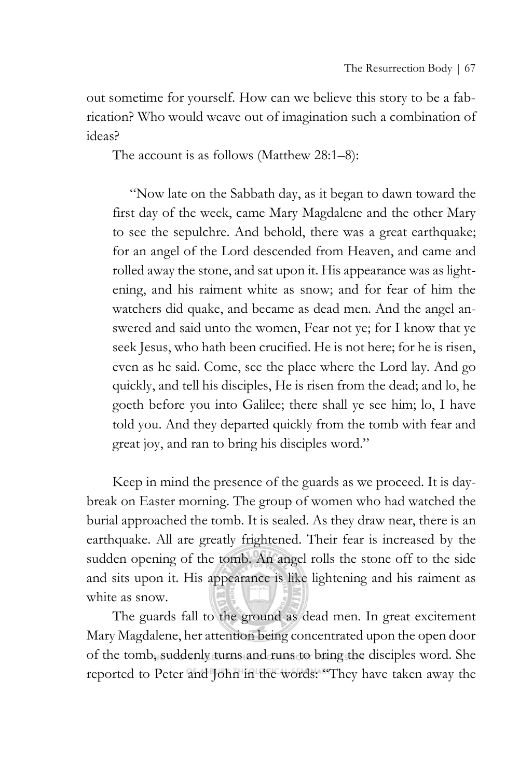out sometime for yourself. How can we believe this story to be a fabrication? Who would weave out of imagination such a combination of ideas?

The account is as follows (Matthew 28:1–8):

"Now late on the Sabbath day, as it began to dawn toward the first day of the week, came Mary Magdalene and the other Mary to see the sepulchre. And behold, there was a great earthquake; for an angel of the Lord descended from Heaven, and came and rolled away the stone, and sat upon it. His appearance was as lightening, and his raiment white as snow; and for fear of him the watchers did quake, and became as dead men. And the angel answered and said unto the women, Fear not ye; for I know that ye seek Jesus, who hath been crucified. He is not here; for he is risen, even as he said. Come, see the place where the Lord lay. And go quickly, and tell his disciples, He is risen from the dead; and lo, he goeth before you into Galilee; there shall ye see him; lo, I have told you. And they departed quickly from the tomb with fear and great joy, and ran to bring his disciples word."

Keep in mind the presence of the guards as we proceed. It is daybreak on Easter morning. The group of women who had watched the burial approached the tomb. It is sealed. As they draw near, there is an earthquake. All are greatly frightened. Their fear is increased by the sudden opening of the tomb. An angel rolls the stone off to the side and sits upon it. His appearance is like lightening and his raiment as white as snow.

The guards fall to the ground as dead men. In great excitement Mary Magdalene, her attention being concentrated upon the open door of the tomb, suddenly turns and runs to bring the disciples word. She reported to Peter and John in the words: "They have taken away the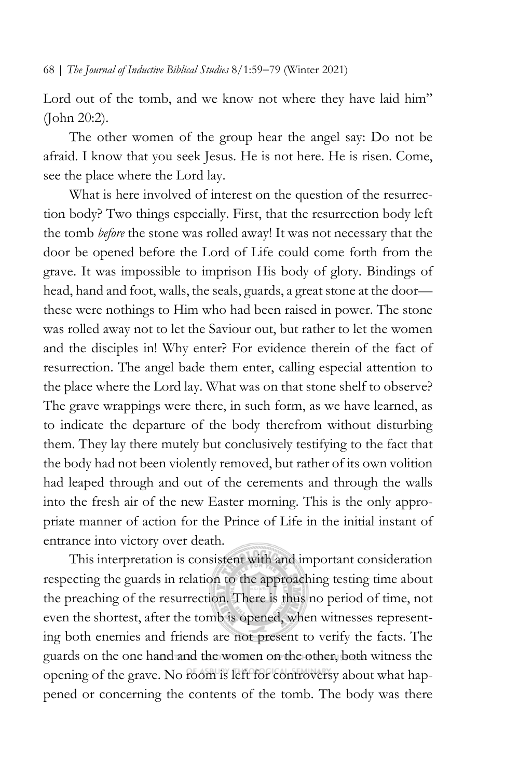Lord out of the tomb, and we know not where they have laid him" (John 20:2).

The other women of the group hear the angel say: Do not be afraid. I know that you seek Jesus. He is not here. He is risen. Come, see the place where the Lord lay.

What is here involved of interest on the question of the resurrection body? Two things especially. First, that the resurrection body left the tomb *before* the stone was rolled away! It was not necessary that the door be opened before the Lord of Life could come forth from the grave. It was impossible to imprison His body of glory. Bindings of head, hand and foot, walls, the seals, guards, a great stone at the door these were nothings to Him who had been raised in power. The stone was rolled away not to let the Saviour out, but rather to let the women and the disciples in! Why enter? For evidence therein of the fact of resurrection. The angel bade them enter, calling especial attention to the place where the Lord lay. What was on that stone shelf to observe? The grave wrappings were there, in such form, as we have learned, as to indicate the departure of the body therefrom without disturbing them. They lay there mutely but conclusively testifying to the fact that the body had not been violently removed, but rather of its own volition had leaped through and out of the cerements and through the walls into the fresh air of the new Easter morning. This is the only appropriate manner of action for the Prince of Life in the initial instant of entrance into victory over death.

This interpretation is consistent with and important consideration respecting the guards in relation to the approaching testing time about the preaching of the resurrection. There is thus no period of time, not even the shortest, after the tomb is opened, when witnesses representing both enemies and friends are not present to verify the facts. The guards on the one hand and the women on the other, both witness the opening of the grave. No room is left for controversy about what happened or concerning the contents of the tomb. The body was there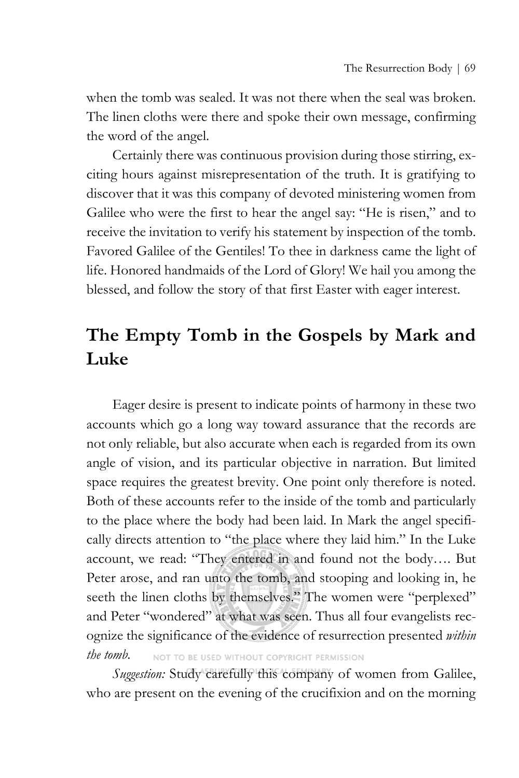when the tomb was sealed. It was not there when the seal was broken. The linen cloths were there and spoke their own message, confirming the word of the angel.

Certainly there was continuous provision during those stirring, exciting hours against misrepresentation of the truth. It is gratifying to discover that it was this company of devoted ministering women from Galilee who were the first to hear the angel say: "He is risen," and to receive the invitation to verify his statement by inspection of the tomb. Favored Galilee of the Gentiles! To thee in darkness came the light of life. Honored handmaids of the Lord of Glory! We hail you among the blessed, and follow the story of that first Easter with eager interest.

# **The Empty Tomb in the Gospels by Mark and Luke**

Eager desire is present to indicate points of harmony in these two accounts which go a long way toward assurance that the records are not only reliable, but also accurate when each is regarded from its own angle of vision, and its particular objective in narration. But limited space requires the greatest brevity. One point only therefore is noted. Both of these accounts refer to the inside of the tomb and particularly to the place where the body had been laid. In Mark the angel specifically directs attention to "the place where they laid him." In the Luke account, we read: "They entered in and found not the body…. But Peter arose, and ran unto the tomb, and stooping and looking in, he seeth the linen cloths by themselves." The women were "perplexed" and Peter "wondered" at what was seen. Thus all four evangelists recognize the significance of the evidence of resurrection presented *within the tomb.* NOT TO BE USED WITHOUT COPYRIGHT PERMISSION

*Suggestion:* Study carefully this company of women from Galilee, who are present on the evening of the crucifixion and on the morning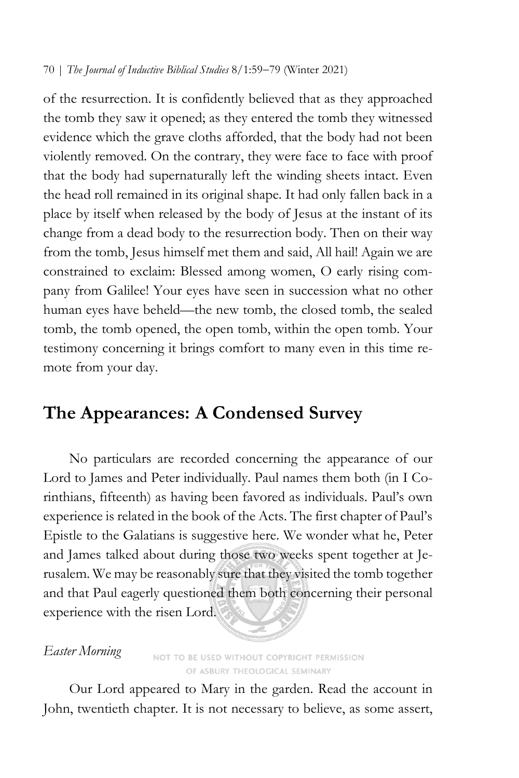of the resurrection. It is confidently believed that as they approached the tomb they saw it opened; as they entered the tomb they witnessed evidence which the grave cloths afforded, that the body had not been violently removed. On the contrary, they were face to face with proof that the body had supernaturally left the winding sheets intact. Even the head roll remained in its original shape. It had only fallen back in a place by itself when released by the body of Jesus at the instant of its change from a dead body to the resurrection body. Then on their way from the tomb, Jesus himself met them and said, All hail! Again we are constrained to exclaim: Blessed among women, O early rising company from Galilee! Your eyes have seen in succession what no other human eyes have beheld—the new tomb, the closed tomb, the sealed tomb, the tomb opened, the open tomb, within the open tomb. Your testimony concerning it brings comfort to many even in this time remote from your day.

## **The Appearances: A Condensed Survey**

No particulars are recorded concerning the appearance of our Lord to James and Peter individually. Paul names them both (in I Corinthians, fifteenth) as having been favored as individuals. Paul's own experience is related in the book of the Acts. The first chapter of Paul's Epistle to the Galatians is suggestive here. We wonder what he, Peter and James talked about during those two weeks spent together at Jerusalem. We may be reasonably sure that they visited the tomb together and that Paul eagerly questioned them both concerning their personal experience with the risen Lord.

## *Easter Morning*

NOT TO BE USED WITHOUT COPYRIGHT PERMISSION OF ASBURY THEOLOGICAL SEMINARY

Our Lord appeared to Mary in the garden. Read the account in John, twentieth chapter. It is not necessary to believe, as some assert,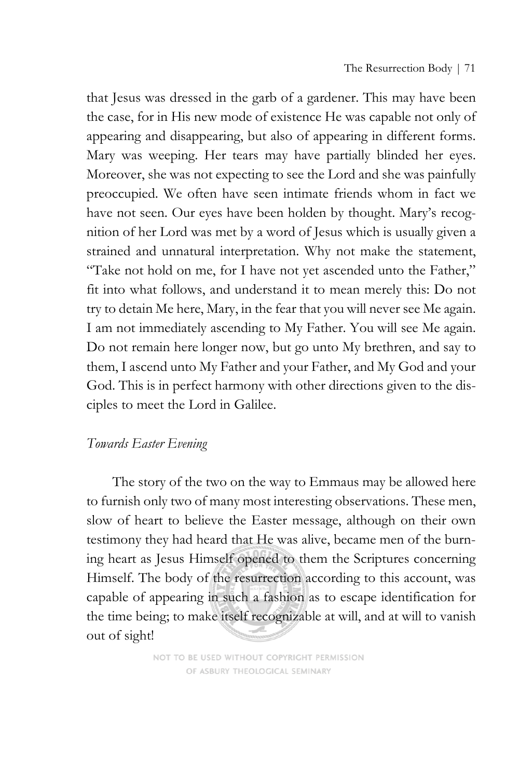that Jesus was dressed in the garb of a gardener. This may have been the case, for in His new mode of existence He was capable not only of appearing and disappearing, but also of appearing in different forms. Mary was weeping. Her tears may have partially blinded her eyes. Moreover, she was not expecting to see the Lord and she was painfully preoccupied. We often have seen intimate friends whom in fact we have not seen. Our eyes have been holden by thought. Mary's recognition of her Lord was met by a word of Jesus which is usually given a strained and unnatural interpretation. Why not make the statement, "Take not hold on me, for I have not yet ascended unto the Father," fit into what follows, and understand it to mean merely this: Do not try to detain Me here, Mary, in the fear that you will never see Me again. I am not immediately ascending to My Father. You will see Me again. Do not remain here longer now, but go unto My brethren, and say to them, I ascend unto My Father and your Father, and My God and your God. This is in perfect harmony with other directions given to the disciples to meet the Lord in Galilee.

## *Towards Easter Evening*

The story of the two on the way to Emmaus may be allowed here to furnish only two of many most interesting observations. These men, slow of heart to believe the Easter message, although on their own testimony they had heard that He was alive, became men of the burning heart as Jesus Himself opened to them the Scriptures concerning Himself. The body of the resurrection according to this account, was capable of appearing in such a fashion as to escape identification for the time being; to make itself recognizable at will, and at will to vanish out of sight!

> NOT TO BE USED WITHOUT COPYRIGHT PERMISSION OF ASBURY THEOLOGICAL SEMINARY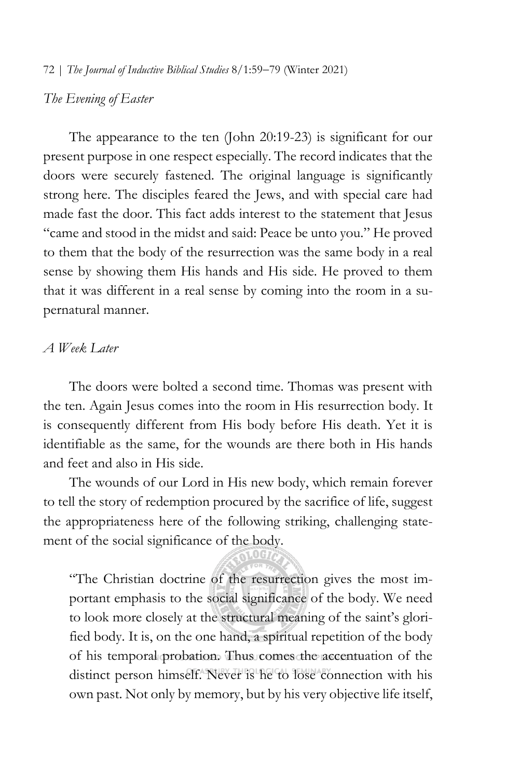## *The Evening of Easter*

The appearance to the ten (John 20:19-23) is significant for our present purpose in one respect especially. The record indicates that the doors were securely fastened. The original language is significantly strong here. The disciples feared the Jews, and with special care had made fast the door. This fact adds interest to the statement that Jesus "came and stood in the midst and said: Peace be unto you." He proved to them that the body of the resurrection was the same body in a real sense by showing them His hands and His side. He proved to them that it was different in a real sense by coming into the room in a supernatural manner.

## *A Week Later*

The doors were bolted a second time. Thomas was present with the ten. Again Jesus comes into the room in His resurrection body. It is consequently different from His body before His death. Yet it is identifiable as the same, for the wounds are there both in His hands and feet and also in His side.

The wounds of our Lord in His new body, which remain forever to tell the story of redemption procured by the sacrifice of life, suggest the appropriateness here of the following striking, challenging statement of the social significance of the body.

"The Christian doctrine of the resurrection gives the most important emphasis to the social significance of the body. We need to look more closely at the structural meaning of the saint's glorified body. It is, on the one hand, a spiritual repetition of the body of his temporal probation. Thus comes the accentuation of the distinct person himself. Never is he to lose connection with his own past. Not only by memory, but by his very objective life itself,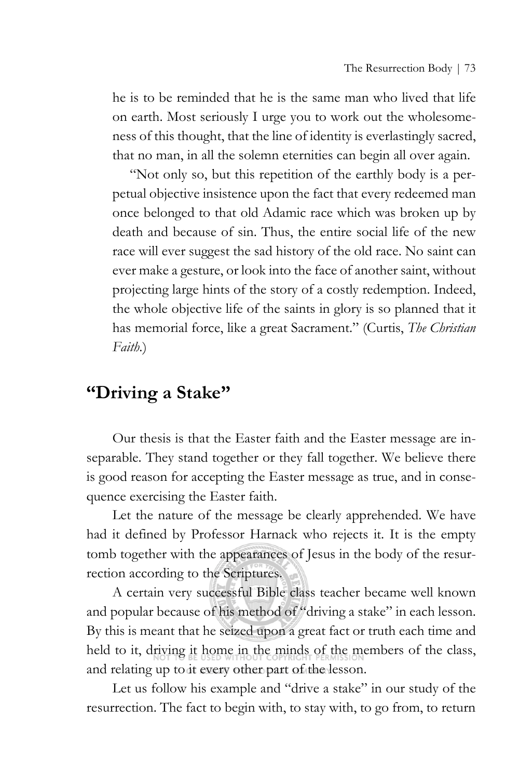he is to be reminded that he is the same man who lived that life on earth. Most seriously I urge you to work out the wholesomeness of this thought, that the line of identity is everlastingly sacred, that no man, in all the solemn eternities can begin all over again.

"Not only so, but this repetition of the earthly body is a perpetual objective insistence upon the fact that every redeemed man once belonged to that old Adamic race which was broken up by death and because of sin. Thus, the entire social life of the new race will ever suggest the sad history of the old race. No saint can ever make a gesture, or look into the face of another saint, without projecting large hints of the story of a costly redemption. Indeed, the whole objective life of the saints in glory is so planned that it has memorial force, like a great Sacrament." (Curtis, *The Christian Faith.*)

## **"Driving a Stake"**

Our thesis is that the Easter faith and the Easter message are inseparable. They stand together or they fall together. We believe there is good reason for accepting the Easter message as true, and in consequence exercising the Easter faith.

Let the nature of the message be clearly apprehended. We have had it defined by Professor Harnack who rejects it. It is the empty tomb together with the appearances of Jesus in the body of the resurrection according to the Scriptures.

A certain very successful Bible class teacher became well known and popular because of his method of "driving a stake" in each lesson. By this is meant that he seized upon a great fact or truth each time and held to it, driving it home in the minds of the members of the class, and relating up to it every other part of the lesson.

Let us follow his example and "drive a stake" in our study of the resurrection. The fact to begin with, to stay with, to go from, to return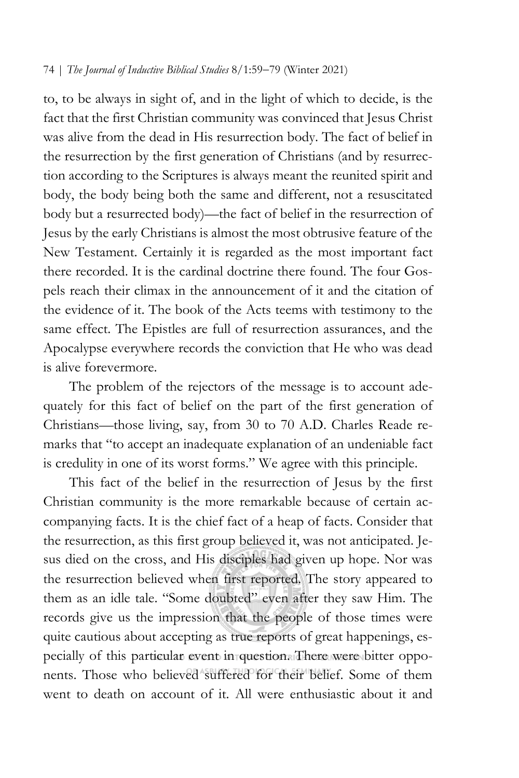to, to be always in sight of, and in the light of which to decide, is the fact that the first Christian community was convinced that Jesus Christ was alive from the dead in His resurrection body. The fact of belief in the resurrection by the first generation of Christians (and by resurrection according to the Scriptures is always meant the reunited spirit and body, the body being both the same and different, not a resuscitated body but a resurrected body)—the fact of belief in the resurrection of Jesus by the early Christians is almost the most obtrusive feature of the New Testament. Certainly it is regarded as the most important fact there recorded. It is the cardinal doctrine there found. The four Gospels reach their climax in the announcement of it and the citation of the evidence of it. The book of the Acts teems with testimony to the same effect. The Epistles are full of resurrection assurances, and the Apocalypse everywhere records the conviction that He who was dead is alive forevermore.

The problem of the rejectors of the message is to account adequately for this fact of belief on the part of the first generation of Christians—those living, say, from 30 to 70 A.D. Charles Reade remarks that "to accept an inadequate explanation of an undeniable fact is credulity in one of its worst forms." We agree with this principle.

This fact of the belief in the resurrection of Jesus by the first Christian community is the more remarkable because of certain accompanying facts. It is the chief fact of a heap of facts. Consider that the resurrection, as this first group believed it, was not anticipated. Jesus died on the cross, and His disciples had given up hope. Nor was the resurrection believed when first reported. The story appeared to them as an idle tale. "Some doubted" even after they saw Him. The records give us the impression that the people of those times were quite cautious about accepting as true reports of great happenings, especially of this particular event in question. There were bitter opponents. Those who believed suffered for their belief. Some of them went to death on account of it. All were enthusiastic about it and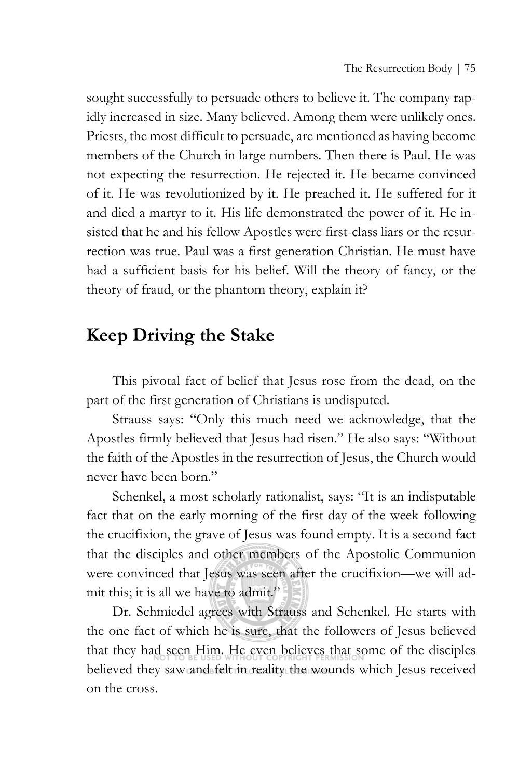sought successfully to persuade others to believe it. The company rapidly increased in size. Many believed. Among them were unlikely ones. Priests, the most difficult to persuade, are mentioned as having become members of the Church in large numbers. Then there is Paul. He was not expecting the resurrection. He rejected it. He became convinced of it. He was revolutionized by it. He preached it. He suffered for it and died a martyr to it. His life demonstrated the power of it. He insisted that he and his fellow Apostles were first-class liars or the resurrection was true. Paul was a first generation Christian. He must have had a sufficient basis for his belief. Will the theory of fancy, or the theory of fraud, or the phantom theory, explain it?

# **Keep Driving the Stake**

This pivotal fact of belief that Jesus rose from the dead, on the part of the first generation of Christians is undisputed.

Strauss says: "Only this much need we acknowledge, that the Apostles firmly believed that Jesus had risen." He also says: "Without the faith of the Apostles in the resurrection of Jesus, the Church would never have been born."

Schenkel, a most scholarly rationalist, says: "It is an indisputable fact that on the early morning of the first day of the week following the crucifixion, the grave of Jesus was found empty. It is a second fact that the disciples and other members of the Apostolic Communion were convinced that Jesus was seen after the crucifixion—we will admit this; it is all we have to admit."

Dr. Schmiedel agrees with Strauss and Schenkel. He starts with the one fact of which he is sure, that the followers of Jesus believed that they had seen Him. He even believes that some of the disciples believed they saw and felt in reality the wounds which Jesus received on the cross.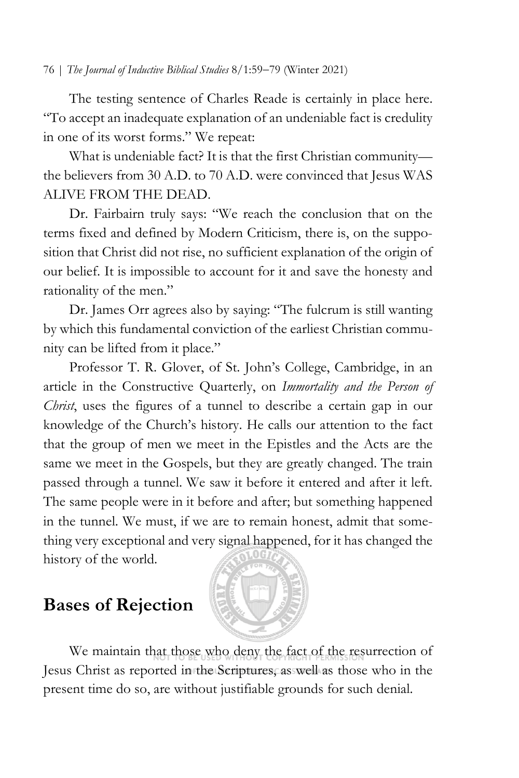The testing sentence of Charles Reade is certainly in place here. "To accept an inadequate explanation of an undeniable fact is credulity in one of its worst forms." We repeat:

What is undeniable fact? It is that the first Christian community the believers from 30 A.D. to 70 A.D. were convinced that Jesus WAS ALIVE FROM THE DEAD.

Dr. Fairbairn truly says: "We reach the conclusion that on the terms fixed and defined by Modern Criticism, there is, on the supposition that Christ did not rise, no sufficient explanation of the origin of our belief. It is impossible to account for it and save the honesty and rationality of the men."

Dr. James Orr agrees also by saying: "The fulcrum is still wanting by which this fundamental conviction of the earliest Christian community can be lifted from it place."

Professor T. R. Glover, of St. John's College, Cambridge, in an article in the Constructive Quarterly, on *Immortality and the Person of Christ*, uses the figures of a tunnel to describe a certain gap in our knowledge of the Church's history. He calls our attention to the fact that the group of men we meet in the Epistles and the Acts are the same we meet in the Gospels, but they are greatly changed. The train passed through a tunnel. We saw it before it entered and after it left. The same people were in it before and after; but something happened in the tunnel. We must, if we are to remain honest, admit that something very exceptional and very signal happened, for it has changed the history of the world.

# **Bases of Rejection**



We maintain that those who deny the fact of the resurrection of Jesus Christ as reported in the Scriptures, as well as those who in the present time do so, are without justifiable grounds for such denial.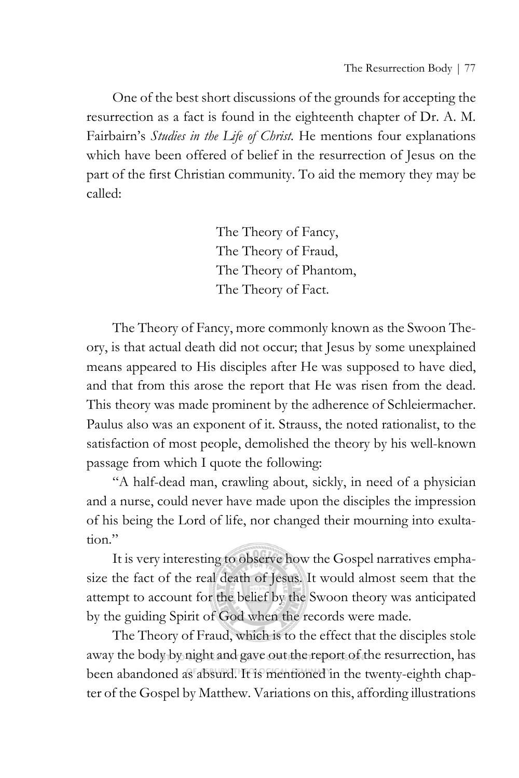One of the best short discussions of the grounds for accepting the resurrection as a fact is found in the eighteenth chapter of Dr. A. M. Fairbairn's *Studies in the Life of Christ.* He mentions four explanations which have been offered of belief in the resurrection of Jesus on the part of the first Christian community. To aid the memory they may be called:

> The Theory of Fancy, The Theory of Fraud, The Theory of Phantom, The Theory of Fact.

The Theory of Fancy, more commonly known as the Swoon Theory, is that actual death did not occur; that Jesus by some unexplained means appeared to His disciples after He was supposed to have died, and that from this arose the report that He was risen from the dead. This theory was made prominent by the adherence of Schleiermacher. Paulus also was an exponent of it. Strauss, the noted rationalist, to the satisfaction of most people, demolished the theory by his well-known passage from which I quote the following:

"A half-dead man, crawling about, sickly, in need of a physician and a nurse, could never have made upon the disciples the impression of his being the Lord of life, nor changed their mourning into exultation."

It is very interesting to observe how the Gospel narratives emphasize the fact of the real death of Jesus. It would almost seem that the attempt to account for the belief by the Swoon theory was anticipated by the guiding Spirit of God when the records were made.

The Theory of Fraud, which is to the effect that the disciples stole away the body by night and gave out the report of the resurrection, has been abandoned as absurd. It is mentioned in the twenty-eighth chapter of the Gospel by Matthew. Variations on this, affording illustrations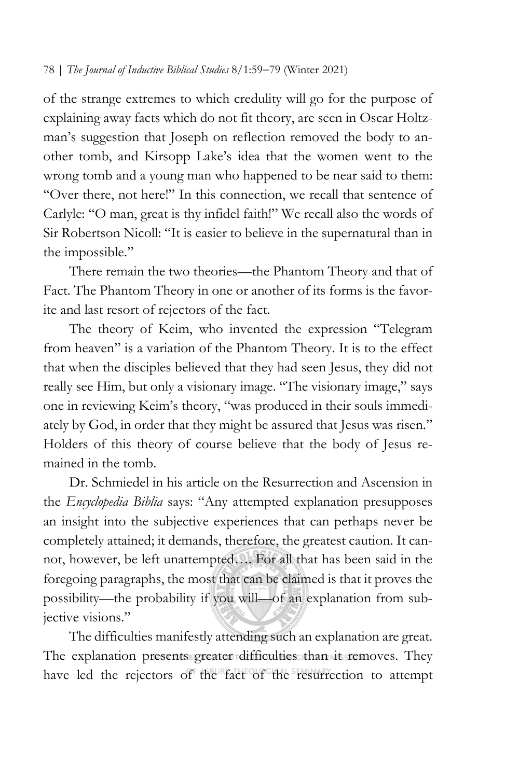of the strange extremes to which credulity will go for the purpose of explaining away facts which do not fit theory, are seen in Oscar Holtzman's suggestion that Joseph on reflection removed the body to another tomb, and Kirsopp Lake's idea that the women went to the wrong tomb and a young man who happened to be near said to them: "Over there, not here!" In this connection, we recall that sentence of Carlyle: "O man, great is thy infidel faith!" We recall also the words of Sir Robertson Nicoll: "It is easier to believe in the supernatural than in the impossible."

There remain the two theories—the Phantom Theory and that of Fact. The Phantom Theory in one or another of its forms is the favorite and last resort of rejectors of the fact.

The theory of Keim, who invented the expression "Telegram from heaven" is a variation of the Phantom Theory. It is to the effect that when the disciples believed that they had seen Jesus, they did not really see Him, but only a visionary image. "The visionary image," says one in reviewing Keim's theory, "was produced in their souls immediately by God, in order that they might be assured that Jesus was risen." Holders of this theory of course believe that the body of Jesus remained in the tomb.

Dr. Schmiedel in his article on the Resurrection and Ascension in the *Encyclopedia Biblia* says: "Any attempted explanation presupposes an insight into the subjective experiences that can perhaps never be completely attained; it demands, therefore, the greatest caution. It cannot, however, be left unattempted…. For all that has been said in the foregoing paragraphs, the most that can be claimed is that it proves the possibility—the probability if you will—of an explanation from subjective visions."

The difficulties manifestly attending such an explanation are great. The explanation presents greater difficulties than its removes. They have led the rejectors of the fact of the resurrection to attempt